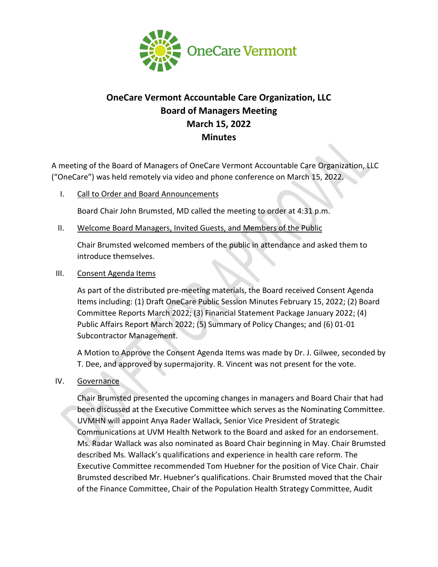

# **OneCare Vermont Accountable Care Organization, LLC Board of Managers Meeting March 15, 2022 Minutes**

A meeting of the Board of Managers of OneCare Vermont Accountable Care Organization, LLC ("OneCare") was held remotely via video and phone conference on March 15, 2022.

I. Call to Order and Board Announcements

Board Chair John Brumsted, MD called the meeting to order at 4:31 p.m.

II. Welcome Board Managers, Invited Guests, and Members of the Public

Chair Brumsted welcomed members of the public in attendance and asked them to introduce themselves.

III. Consent Agenda Items

As part of the distributed pre-meeting materials, the Board received Consent Agenda Items including: (1) Draft OneCare Public Session Minutes February 15, 2022; (2) Board Committee Reports March 2022; (3) Financial Statement Package January 2022; (4) Public Affairs Report March 2022; (5) Summary of Policy Changes; and (6) 01-01 Subcontractor Management.

A Motion to Approve the Consent Agenda Items was made by Dr. J. Gilwee, seconded by T. Dee, and approved by supermajority. R. Vincent was not present for the vote.

IV. Governance

Chair Brumsted presented the upcoming changes in managers and Board Chair that had been discussed at the Executive Committee which serves as the Nominating Committee. UVMHN will appoint Anya Rader Wallack, Senior Vice President of Strategic Communications at UVM Health Network to the Board and asked for an endorsement. Ms. Radar Wallack was also nominated as Board Chair beginning in May. Chair Brumsted described Ms. Wallack's qualifications and experience in health care reform. The Executive Committee recommended Tom Huebner for the position of Vice Chair. Chair Brumsted described Mr. Huebner's qualifications. Chair Brumsted moved that the Chair of the Finance Committee, Chair of the Population Health Strategy Committee, Audit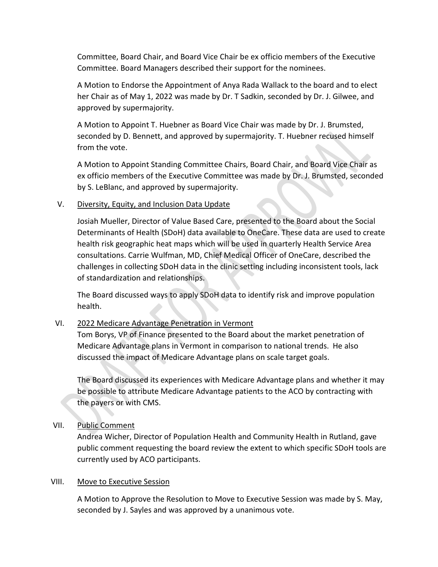Committee, Board Chair, and Board Vice Chair be ex officio members of the Executive Committee. Board Managers described their support for the nominees.

A Motion to Endorse the Appointment of Anya Rada Wallack to the board and to elect her Chair as of May 1, 2022 was made by Dr. T Sadkin, seconded by Dr. J. Gilwee, and approved by supermajority.

A Motion to Appoint T. Huebner as Board Vice Chair was made by Dr. J. Brumsted, seconded by D. Bennett, and approved by supermajority. T. Huebner recused himself from the vote.

A Motion to Appoint Standing Committee Chairs, Board Chair, and Board Vice Chair as ex officio members of the Executive Committee was made by Dr. J. Brumsted, seconded by S. LeBlanc, and approved by supermajority.

## V. Diversity, Equity, and Inclusion Data Update

Josiah Mueller, Director of Value Based Care, presented to the Board about the Social Determinants of Health (SDoH) data available to OneCare. These data are used to create health risk geographic heat maps which will be used in quarterly Health Service Area consultations. Carrie Wulfman, MD, Chief Medical Officer of OneCare, described the challenges in collecting SDoH data in the clinic setting including inconsistent tools, lack of standardization and relationships.

The Board discussed ways to apply SDoH data to identify risk and improve population health.

## VI. 2022 Medicare Advantage Penetration in Vermont

Tom Borys, VP of Finance presented to the Board about the market penetration of Medicare Advantage plans in Vermont in comparison to national trends. He also discussed the impact of Medicare Advantage plans on scale target goals.

The Board discussed its experiences with Medicare Advantage plans and whether it may be possible to attribute Medicare Advantage patients to the ACO by contracting with the payers or with CMS.

## VII. Public Comment

Andrea Wicher, Director of Population Health and Community Health in Rutland, gave public comment requesting the board review the extent to which specific SDoH tools are currently used by ACO participants.

#### VIII. Move to Executive Session

A Motion to Approve the Resolution to Move to Executive Session was made by S. May, seconded by J. Sayles and was approved by a unanimous vote.